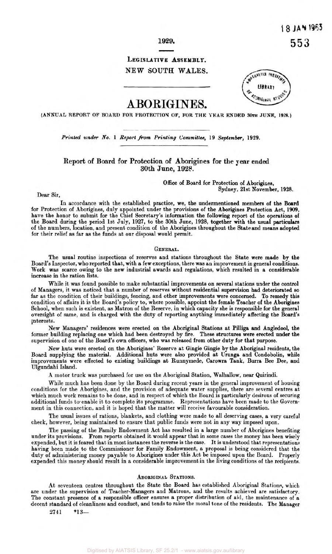### **1929.**

## **LEGISLATIVE ASSEMBLY.**  NEW SOUTH WALES.



# A BORIGINES.

**(ANNUAL REPORT OF BOARD FOR PROTECTION OF, FOR THE TEAR ENDED 30th JUNE, 1928.)** 

*Printed under No.* 1 Report **from** *Printing* **Committee,** 19 *September,* 1929.

**Report of Board for Protection of Aborigines for the year ended 30th June, 1928.** 

> *Office* of Board for Protection of Aborigines, Sydney, 21st November, **1928.**

Dear Sir,

In accordance with the established practice, we, the undermentioned members of the **Board**  for Protection of Aborigines, duly appointed under the provisions of the Aborigines Protection Act, **1909,**  have the honor to submit for the Chief Secretary's information the following report of the operations of the Board during the period 1st July, 1927, to the 30th June, 1928, together with the usual particulars of the numbers, location, and present condition of the Aborigines throughout the State and means adopted for their relief **as** far as the funds at our disposal would permit.

### GENERAL.

The usual routine inspections of reserves and stations throughout the State were made **by** the Board's Inspector, who reported that, with **a** few exceptions, there was an improvement in general conditions. Work was scarce owing to the new industrial awards and regulations, which resulted in **a** considerable increase in the ration lists.

While it was found possible to make substantial improvements on several stations under the control of Managers, it was noticed that a number of reserves without residential supervision had deteriorated **so**  far **as** the condition of their buildings, fencing, and other improvements were concerned. To remedy this condition of affairs it is the Board's policy to, where possible, appoint the female Teacher of the Aborigines School, when such is existent, **as** Matron of the Reserve, in which capacity she **is** responsible for the general oversight of same, and is charged with the duty of reporting anything immediately affecting the Board's interests.

New Managers' residences were erected on the Aboriginal Stations at Pilliga and Angledool, the former building replacing one which had been destroyed by fire. These structures were erected under the supervision of one of the Board's own officers, who was released from other duty for that purpose.

New huts were erected on the Aborigines' Reserve at Gingie Gingie by the Aboriginal residents, the Board supplying the material. Additional huts were also provided at Urunga and Condobolin, while improvements were effected to existing buildings at Runnymede, Carowra Tank, Burra Bee Dee, and Ulgundahi Island.

A motor truck was purchased for use on the Aboriginal Station, Walhallow, near Quirindi.

While much has been done by the Board during recent years in the general improvement of housing conditions for the Aborigines, and the provision of adequate water supplies, there are several centres at which much work remains to be done, and in respect of which the Board is particularly desirous of securing additional funds to enable it to complete its programme. Representations have been made to the Government in this connection, and it is hoped that the matter will receive favourable consideration.

The usual issues of rations, blankets, and clothing were made to all deserving cases, a very careful check, however, being maintained to ensure that public funds were not in any way imposed upon.

The passing of the Family Endowment Act has resulted in **a** large number of Aborigines benefiting under its provisions. From reports obtained it would appear that **in** some cases the money has been wisely expended, but it is feared that in most instances the reverse is the case. It is understood that representations having been made to the Commissioner for Family Endowment, a proposal is being considered that the duty of administering money payable to Aborigines under this Act be imposed upon the Board. Properly expended this money should result in a considerable improvement in the living conditions of the recipients.

#### ABORIGINAL STATIONS.

At seventeen centres throughout the State the Board has established Aboriginal Stations, which are under the supervision of Teacher-Managers and Matrons, and the results achieved are satisfactory. The constant presence of **a** responsible officer ensures **a** proper distribution of aid, the maintenance **of a**  decent standard of cleanliness and conduct, and tends to raise the moral tone of the residents. The Manager

2741 **\*13-**